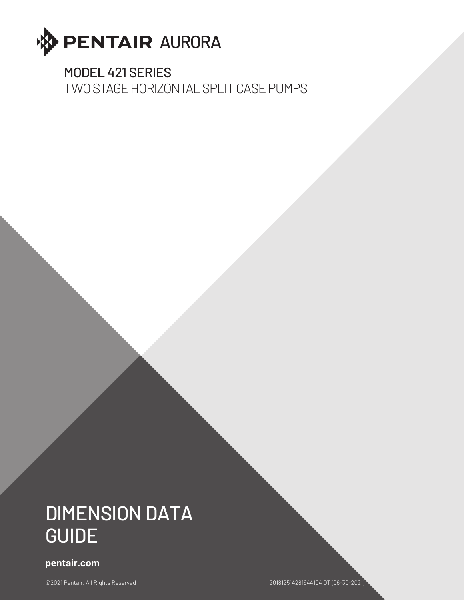

### MODEL 421 SERIES

TWO STAGE HORIZONTAL SPLIT CASE PUMPS

# DIMENSION DATA GUIDE

### **pentair.com**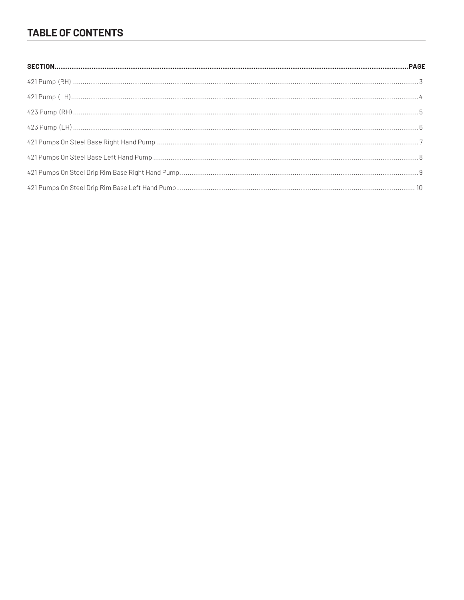### **TABLE OF CONTENTS**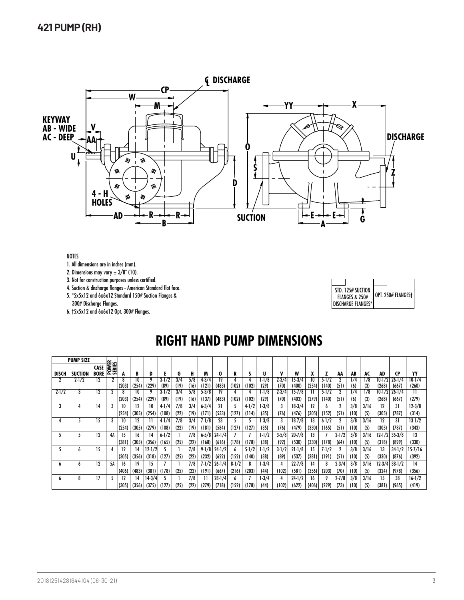

1. All dimensions are in inches (mm).

2. Dimensions may vary  $\pm 3/8$ " (10).

3. Not for construction purposes unless certified.

4. Suction & discharge flanges - American Standard flat face.

5. \*5x5x12 and 6x6x12 Standard 150# Suction Flanges &

300# Discharge Flanges.

6. †5x5x12 and 6x6x12 Opt. 300# Flanges.

|  | STD. 125# SUCTION<br><b>FLANGES &amp; 250#</b><br><b>DISCHARGE FLANGES*</b> | OPT. 250# FLANGES† |
|--|-----------------------------------------------------------------------------|--------------------|

Supersedes Section 420 Page 201

# **RIGHT HAND PUMP DIMENSIONS**

|              | <b>PUMP SIZE</b> |                     |                 |             |             |                     |                    |             |             |                    |                     |                    |                    |                   |                   |                     |             |                    |                   |             |             |                     |                     |                               |
|--------------|------------------|---------------------|-----------------|-------------|-------------|---------------------|--------------------|-------------|-------------|--------------------|---------------------|--------------------|--------------------|-------------------|-------------------|---------------------|-------------|--------------------|-------------------|-------------|-------------|---------------------|---------------------|-------------------------------|
| <b>DISCH</b> | <b>SUCTION</b>   | CASE<br><b>BORE</b> | POWER<br>SERIES |             | B           |                     |                    | G           | н           | M                  | 0                   | R                  |                    | U                 |                   | W                   |             |                    | AA                | AB          | AC          | AD                  | <b>CP</b>           | YY                            |
|              | $2-1/2$          | 12                  |                 | (203)       | 10<br>(254) | (229)               | $3-1/2$<br>(89)    | 3/4<br>(19) | 5/8<br>(16) | $4 - 3/4$<br>(121  | 19<br>(483)         | (102)              | (102)              | 1/8<br>(29)       | $2 - 3/4$<br>(70) | $15-3/4$<br>(400)   | 10<br>(254  | $5 - 1/2$<br>(140) | (5]               | 1/4<br>(6)  | 1/8<br>(3)  | $10-1/2$<br>(268)   | $26 - 1/4$<br>(667  | $10 - 1/4$<br>(260)           |
| $2 - 1/2$    |                  | 12                  |                 | (203)       | 10<br>(254) | (229)               | $3 - 1/2$<br>(89)  | 3/4<br>(19) | 5/8<br>(16) | $5 - 3/8$<br>(137) | (483)               | (102)              | (102)              | 1/8<br>(29)       | $2 - 3/4$<br>(70) | $15 - 7/8$<br>(403) | (279)       | $5 - 1/2$<br>(140) | (51)              | 1/4<br>(6)  | /8<br>(3)   | $10 - 1/2$<br>(268) | $26 - 1/4$<br>(667) | $\overline{\rm{11}}$<br>(279) |
| 3            |                  | 14                  | 3               | 10<br>(254) | 12<br>(305) | 10<br>(254)         | $4-1/4$<br>(108)   | 7/8<br>(22) | 3/4<br>(19) | $6 - 3/4$<br>(171) | 21<br>(533)         | (127)              | $4 - 1/2$<br>(114) | $1-3/8$<br>(35)   | (76)              | $18-3/4$<br>(476)   | 12<br>(305) | (152)              | (51)              | 3/8<br>(10) | 3/16<br>(5) | 12<br>(305)         | 31<br>(787)         | $12 - 3/8$<br>(314)           |
|              |                  | 15                  | 3               | 10<br>(254) | 12<br>(305) | (279)               | $4-1/4$<br>(108)   | 7/8<br>(22) | 3/4<br>(19) | $7 - 1/8$<br>(181) | 23<br>(584)         | (127)              | (127)              | $1-3/8$<br>(35)   | (76)              | $18 - 7/8$<br>(479) | 13<br>(330) | $6 - 1/2$<br>(165) | (51)              | 3/8<br>(10) | 3/16<br>(5) | 12<br>(305)         | 31<br>(787          | $13 - 1/2$<br>(343)           |
|              |                  | 12                  | 4А              | 15<br>(381  | 16<br>(305) | 14<br>(356)         | $6 - 1/2$<br>(165) | (25)        | 7/8<br>(22) | $6 - 5/8$<br>(168) | $24 - 1/4$<br>(616) | (178)              | (178)              | $1 - 1/2$<br>(38) | $3 - 5/8$<br>(92) | $20 - 7/8$<br>(530) | 13<br>(330) | (178)              | $2 - 1/2$<br>(64) | 3/8<br>(10) | 3/16<br>(5) | $12 - 1/2$<br>(318) | $35 - 3/8$<br>(899) | 13<br>(330)                   |
|              | h                | 15                  | 4               | 12<br>(305) | 14<br>(356) | 12-1/21<br>(318)    | (127)              | (25)        | 7/8<br>(22) | $9 - 1/8$<br>(232) | $24 - 1/2$<br>(622) | (152)              | $5 - 1/2$<br>(140) | 1/2<br>(38)       | $3 - 1/2$<br>(89) | $21 - 1/8$<br>(537) | 15<br>(38]  | $7 - 1/2$<br>(191) | (51)              | 3/8<br>(10) | 3/16<br>(5) | 13<br>(330)         | $34 - 1/2$<br>(876) | 15-7/16<br>(392)              |
| h            | h                | 12                  | 5Α              | 16<br>(406) | 19<br>(483) | 15<br>(381)         | (178)              | (25)        | 7/8<br>(22) | $7 - 1/2$<br>(191) | $26 - 1/4$<br>(667) | $8 - 1/2$<br>(216) | 8<br>(203)         | 1-3/4<br>(44)     | (102)             | $22 - 7/8$<br>(58]  | 14<br>(356) | (203)              | $2 - 3/4$<br>(70) | 3/8<br>(10) | 3/16<br>(5) | $12-3/4$<br>(324)   | $38 - 1/2$<br>(978) | 14<br>(356)                   |
| h            | 8                |                     |                 | 12<br>(305) | 14<br>(356) | $14 - 3/4$<br>(375) | (127)              | (25)        | 7/8<br>(22) | (279               | $28 - 1/4$<br>(718) | (152)              | (178)              | 1-3/4<br>(44)     | (102)             | $24-1/2$<br>(622)   | 16<br>(406) | (229)              | $2 - 7/8$<br>(73) | 3/8<br>(10) | 3/16<br>(5) | 15<br>(381)         | 38<br>(965)         | $16 - 1/2$<br>(419)           |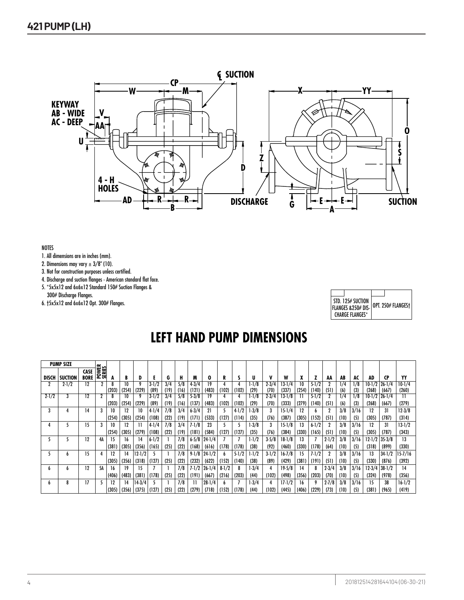

- 1. All dimensions are in inches (mm).
- 2. Dimensions may vary  $\pm 3/8$ " (10).
- 3. Not for construction purposes unless certified.
- 4. Discharge and suction flanges American standard flat face.
- 5. \*5x5x12 and 6x6x12 Standard 150# Suction Flanges &

300# Discharge Flanges. 6. †5x5x12 and 6x6x12 Opt. 300# Flanges.

| STD. 125# SUCTION<br>FLANGES & 250# DIS- OPT. 250# FLANGES+<br>CHARGF FLANGFS* |  |
|--------------------------------------------------------------------------------|--|

### **LEFT HAND PUMP DIMENSIONS**

|              | <b>PUMP SIZE</b> |                            |                 |       |            |        |                   |             |             |                   |             |           |           |               |                   |                |             |                    |           |            |            |                 |                     |                   |
|--------------|------------------|----------------------------|-----------------|-------|------------|--------|-------------------|-------------|-------------|-------------------|-------------|-----------|-----------|---------------|-------------------|----------------|-------------|--------------------|-----------|------------|------------|-----------------|---------------------|-------------------|
| <b>DISCH</b> | <b>SUCTION</b>   | <b>CASE</b><br><b>BORE</b> | POWER<br>SERIES | А     | B          |        |                   | G           | Н           | M                 | 0           | R         |           | U             | v                 | W              | ^           |                    | AA        | AB         | AC         | AD              | <b>CP</b>           | YY                |
|              | $2 - 1/2$        | 12                         | 2               | (203) | 10<br>(254 | (229)  | $3 - 1/2$<br>(89) | 3/4<br>(19) | 5/8<br>(16) | $4 - 3/4$<br>(121 | 19<br>(483) | (102)     | (102)     | 1-1/8<br>(29) | $2 - 3/4$<br>(70) | 13-1/4<br>(337 | 10<br>(254) | $5 - 1/2$<br>(140) | (5]       | 1/4<br>(6) | 1/8<br>(3) | 10-1/2<br>(268) | $26 - 1/4$<br>(667) | $10-1/4$<br>(260) |
| $2 - 1/2$    |                  | 12                         |                 |       | 10         |        | $3 - 1/2$         | 3/4         | 5/8         | $5 - 3/8$         | 19          |           |           | 1-1/8         | $2 - 3/4$         | $13-1/8$       |             | $5 - 1/2$          |           | 1/4        | 1/8        | 10-1/2          | $26 - 1/4$          | $\overline{11}$   |
|              |                  |                            |                 | (203) | (254)      | (229)  | (89)              | (19)        | (16)        | (137              | (483)       | (102)     | (102)     | (29)          | (70)              | (333)          | (279)       | (140)              | (51)      | (6)        | (3)        | (268)           | (667)               | (279)             |
| 3            |                  | 14                         |                 | 10    | 12         | 10     | $4-1/4$           | 7/8         | 3/4         | $6 - 3/4$         | 21          |           | $4-1/2$   | $-3/8$        |                   | 15-1/4         | 12          |                    |           | 3/8        | 3/16       | 12              | 31                  | $12 - 3/8$        |
|              |                  |                            |                 | (254) | (305)      | (254)  | (108)             | (22         | (19)        | (171)             | (533)       | (127)     | (114)     | (35)          | (76)              | (387)          | (305)       | (152)              | (5]       | (10)       | (5)        | (305)           | (787)               | (314)             |
|              |                  | 15                         |                 | 10    | 12         |        | $4-1/4$           | 7/8         | 3/4         | $7 - 1/8$         | 23          |           |           | $-3/8$        |                   | 15-1/8         | 13          | $6 - 1/2$          |           | 3/8        | 3/16       | 12              | 31                  | 13-1/2            |
|              |                  |                            |                 | (254) | (305)      | (279)  | (108)             | (22         | (19)        | (181)             | (584)       | (127)     | (127)     | (35)          | (76)              | (384)          | (330)       | (165)              | (5]       | (10)       | (5)        | (305)           | (787                | (343)             |
| י            |                  | 12                         | 4А              | 15    | 16         | 14     | $6 - 1/2$         |             | 7/8         | $6 - 5/8$         | $24 - 1/4$  |           |           | 1-1/2         | $3 - 5/8$         | $18-1/8$       | 13          |                    | $2 - 1/2$ | 3/8        | 3/16       | 12-1/2          | $35 - 3/8$          | 13                |
|              |                  |                            |                 | (381  | (305)      | (356)  | (165)             | (25)        | (22)        | (168)             | (616)       | (178)     | (178)     | (38)          | (92)              | (460)          | (330)       | (178)              | (64)      | (10)       | (5)        | (318)           | (899)               | (330)             |
| נ            | h                | 15                         |                 | 12    | 14         | 12-1/2 |                   |             | 7/8         | $9-1/8$           | $24 - 1/2$  |           | $5 - 1/2$ | 1-1/2         | $3-1/2$           | 16-7/8         | 15          | $7 - 1/2$          |           | 3/8        | 3/16       | 13              | 34-1/2              | 15-7/16           |
|              |                  |                            |                 | (305) | (356)      | (318)  | (127)             | (25)        | (22)        | (232)             | (622)       | (152)     | (140)     | (38)          | (89)              | (429)          | (38)        | (191)              | (51)      | (10)       | (5)        | (330)           | (876)               | (392)             |
| b            | h                | 12                         | 5А              | 16    | 19         | 15     |                   |             | 7/8         | 7-1/2             | $26 - 1/4$  | $8 - 1/2$ | 8         | $-3/4$        |                   | $19 - 5/8$     | 14          |                    | $2 - 3/4$ | 3/8        | 3/16       | 12-3/4          | $38 - 1/2$          | 14                |
|              |                  |                            |                 | (406) | (483)      | (381)  | (178)             | (25)        | (22)        | (191)             | (667)       | (216)     | (203)     | (44)          | (102)             | (498)          | (356)       | (203)              | (70)      | (10)       | (5)        | (324)           | (978)               | (356)             |
| b            | 8                | 17                         |                 | 12    | 14         | 14-3/4 |                   |             | 7/8         |                   | $28 - 1/4$  |           |           | $1-3/4$       |                   | $17 - 1/2$     | 16          |                    | $2 - 7/8$ | 3/8        | 3/16       | 15              | 38                  | $16-1/2$          |
|              |                  |                            |                 | (305) | (356)      | (375)  | (127)             | (25)        | (22)        | (279)             | (718)       | (152)     | (178)     | (44)          | (102)             | (445)          | (406)       | (229)              | (73)      | (10)       | (5)        | (381)           | (965)               | (419)             |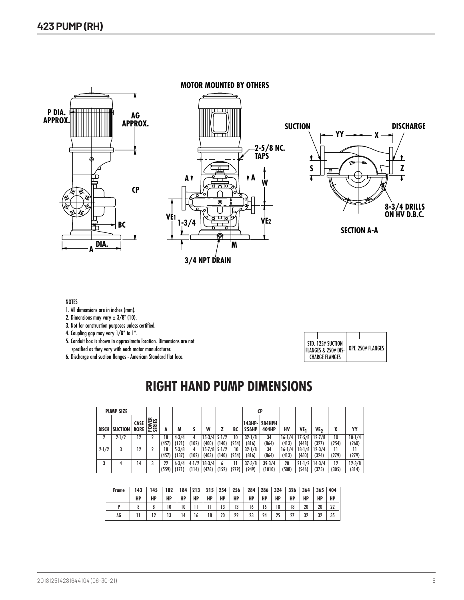

- 1. All dimensions are in inches (mm).
- 2. Dimensions may vary  $\pm 3/8$ " (10).
- 3. Not for construction purposes unless certified.
- 4. Coupling gap may vary 1/8" to 1".
- 5. Conduit box is shown in approximate location. Dimensions are not specified as they vary with each motor manufacturer.
- 6. Discharge and suction flanges American Standard flat face.

| STD. 125# SUCTION<br> FLANGES & 250# DIS-<br>CHARGE FLANGES | OPT. 250# FLANGES |
|-------------------------------------------------------------|-------------------|

Date **March 2004**

# **RIGHT HAND PUMP DIMENSIONS**

|              | <b>PUMP SIZE</b> |                     |                        |             |                    |       |                         |                  |       |                     | CP                            |             |                     |                   |             |                     |
|--------------|------------------|---------------------|------------------------|-------------|--------------------|-------|-------------------------|------------------|-------|---------------------|-------------------------------|-------------|---------------------|-------------------|-------------|---------------------|
| <b>DISCH</b> | <b>SUCTION</b>   | CASE<br><b>BORE</b> | <b>POWER</b><br>SERIES |             | M                  |       | W                       |                  | BC    | 256HP               | 143HP- 284HPH<br><b>404HP</b> | HV          | VE1                 | VE <sub>2</sub>   | χ           | YY                  |
|              | $2 - 1/2$        | 12                  |                        | 18          | $4 - 3/4$          |       | $15-3/4$ 5-1/2          |                  | 10    | $32 - 1/8$          | 34                            | $16-1/4$    | $17 - 5/8$          | $12 - 7/8$        | 10          | $10-1/4$            |
|              |                  |                     |                        | (457)       | (121)              | (102) | (400)                   | (140)            | (254) | (816)               | (864)                         | (413)       | (448)               | (327)             | (254)       | (260)               |
| $2 - 1/2$    |                  | 12                  |                        | 18          | $5 - 3/8$          |       | $15 - 7/8$              | $5 - 1/2$        | 10    | $32 - 1/8$          | 34                            | $16-1/4$    | $18-1/8$            | $12 - 3/4$        |             | Н                   |
|              |                  |                     |                        | (457)       | (137)              | (102) | (403)                   | (140)            | (254) | (816)               | (864)                         | (413)       | (460)               | (324)             | (279)       | (279)               |
|              | 4                | 14                  |                        | 22<br>(559) | $6 - 3/4$<br>(171) | (114) | $4-1/2$ 18-3/4<br>(476) | b<br>(152) (279) | 11    | $37 - 3/8$<br>(949) | $39 - 3/4$<br>(1010)          | 20<br>(508) | $21 - 1/2$<br>(546) | $14-3/4$<br>(375) | 12<br>(305) | $12 - 3/8$<br>(314) |

| Frame | 143 | 145 | 182 | 184 | 213 | 215 | 254 | 256 | 284 | 286 | 324 | 326 | 364 | 365 | 404 |
|-------|-----|-----|-----|-----|-----|-----|-----|-----|-----|-----|-----|-----|-----|-----|-----|
|       | HP  | HP  | HP  | HP  | НP  | HP  | НP  | HP  | HP  | HP  | HP  | HP  | HP  | НP  | HP  |
|       |     |     | 10  | 10  |     |     | 13  | 13  | 16  | 16  | 18  | 18  | 20  | 20  | 22  |
| AG    |     |     | 13  | 14  | l 6 | 18  | 20  | 22  | 23  | 24  | 25  | 27  | 32  | 32  | 35  |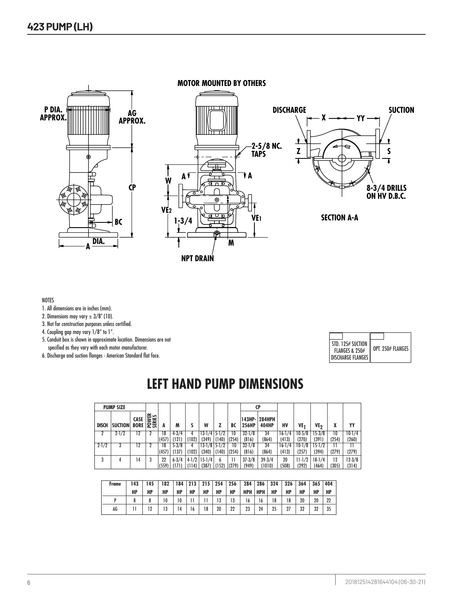

**MOTOR MOUNTED BY OTHERS**





**SECTION A-A**

#### NOTES

- 1. All dimensions are in inches (mm).
- 2. Dimensions may vary  $\pm 3/8$ " (10).
- 3. Not for construction purposes unless certified.
- 4. Coupling gap may vary 1/8" to 1".
- 5. Conduit box is shown in approximate location. Dimensions are not specified as they vary with each motor manufacturer.
- 6. Discharge and suction flanges American Standard flat face.

| STD. 125# SUCTION<br><b>FLANGES &amp; 250#</b> | OPT. 250# FLANGES |
|------------------------------------------------|-------------------|
| <b>DISCHARGE FLANGES</b>                       |                   |

### **LEFT HAND PUMP DIMENSIONS**

|              | <b>PUMP SIZE</b> |                            |                        |       |           |       |                  |           |       |                 | CP                     |            |            |            |       |          |
|--------------|------------------|----------------------------|------------------------|-------|-----------|-------|------------------|-----------|-------|-----------------|------------------------|------------|------------|------------|-------|----------|
| <b>DISCH</b> | <b>SUCTION</b>   | <b>CASE</b><br><b>BORE</b> | <b>POWER</b><br>SERIES |       | M         |       | W                |           | BC    | 143HP-<br>256HP | <b>284HPH</b><br>404HP | НV         | VE1        | ۷E7        |       | YY       |
| ŋ            | $2 - 1/2$        | 12                         |                        | 18    | $4 - 3/4$ |       | $13-1/4$         | $5 - 1/2$ | 10    | $32 - 1/8$      | 34                     | $16 - 1/4$ | $10-5/8$   | $15 - 3/8$ | 10    | $10-1/4$ |
|              |                  |                            |                        | (457) | (121)     | (102) | (349)            | (140)     | (254) | (816)           | (864)                  | (413)      | (270)      | (391)      | (254) | (260)    |
| $2 - 1/2$    |                  | 12                         |                        | 18    | $5 - 3/8$ | 4     | $13-1/8$         | $5 - 1/2$ | 10    | $32 - 1/8$      | 34                     | $16-1/4$   | $10-1/8$   | $15 - 1/2$ |       | 11       |
|              |                  |                            |                        | (457) | (137)     | (102) | (340)            | (140)     | (254) | (816)           | (864)                  | (413)      | (257)      | (394)      | (279) | (279)    |
| 3            |                  | 14                         |                        | 22    | $6 - 3/4$ |       | $4-1/2$   15-1/4 | b         | 11    | $37 - 3/8$      | $39 - 3/4$             | 20         | $11 - 1/2$ | $18-1/4$   | 12    | $12-3/8$ |
|              |                  |                            |                        | (559) | (171)     | (114) | (387)            | (152)     | (279) | (949)           | (1010)                 | (508)      | (292)      | (464)      | (305) | (314)    |

| Frame | 143 | :45 | 182 | 184 | 213 |    | 215 254 | 256 | 284        | 286 | 324 | 326 | 364 | 365 | 404 |
|-------|-----|-----|-----|-----|-----|----|---------|-----|------------|-----|-----|-----|-----|-----|-----|
|       | HP  | HP  | HP  | HP  | HP  | HP | НP      | HP  | <b>HPH</b> | HPH | HP  | HP  | HP  | HP  | НP  |
|       |     |     | 10  | 10  |     |    | 13      | 13  | 16         | 16  | 18  | 18  | 20  | 20  | 22  |
| AG    |     |     | 13  | 14  | 16  | 18 | 20      | 22  | 23         | 24  | 25  |     | 32  | 32  | 35  |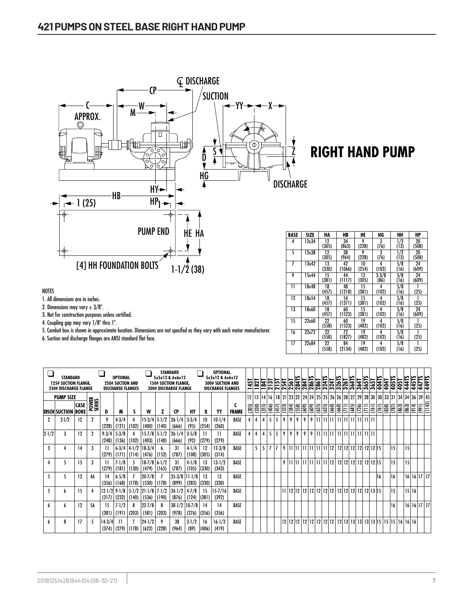

# **RIGHT HAND PUMP**

| BASE | SIZE  | HA    | HB     | HE    | HG        | HН               | HP    |
|------|-------|-------|--------|-------|-----------|------------------|-------|
| 4    | 12x34 | 12    | 34     | 9     | 3         | $\overline{1/2}$ | 20    |
|      |       | (305) | (863)  | (228) | (76)      | (13)             | (508) |
| 5    | 12x38 | 12    | 38     | 9     | 3         | $\overline{1/2}$ | 20    |
|      |       | (305) | (964)  | (228) | (76)      | (13)             | (508) |
| 7    | 13x42 | 13    | 42     | 10    | 4         | 5/8              | 24    |
|      |       | (330) | (1066) | (254) | (102)     | (16)             | (609) |
| 9    | 15x44 | 15    | 44     | 12    | $3 - 3/8$ | 5/8              | 24    |
|      |       | (381) | (1117) | (305) | (86)      | (16)             | (609) |
| 11   | 18x48 | 18    | 48     | 15    | 4         | 5/8              |       |
|      |       | (457) | (1218) | (381) | (102)     | (16)             | (25)  |
| 12   | 18x54 | 18    | 54     | 15    | 4         | 5/8              |       |
|      |       | (457) | (1371) | (381) | (102)     | (16)             | (25)  |
| 13   | 18x60 | 18    | 60     | 15    | 4         | 5/8              | 24    |
|      |       | (457) | (1523) | (381) | (102)     | (16)             | (609) |
| 15   | 22x60 | 22    | 60     | 19    | 4         | 5/8              |       |
|      |       | (558) | (1523) | (482) | (102)     | (16)             | (25)  |
| 16   | 22x72 | 22    | 72     | 19    | 4         | 5/8              |       |
|      |       | (558) | (1827) | (482) | (102)     | (16)             | (25)  |
| 17   | 22x84 | 22    | 84     | 19    | 4         | 5/8              |       |
|      |       | (558) | (2134) | (482) | (102)     | (16)             | (25)  |

|              | <b>STANDARD</b><br><b>125# SUCTION FLANGE.</b><br><b>250# DISCHARGE FLANGE</b> |                            |                  |                    | <b>OPTIONAL</b><br><b>250# SUCTION AND</b><br><b>DISCHARGE FLANGES</b> |                                 |                                    |                    | <b>STANDARD</b><br>5x5x12 & 6x6x12<br><b>150# SUCTION FLANGE,</b><br><b>300# DISCHARGE FLANGE</b> |                    |              | <b>OPTIONAL</b><br>5x5x12 & 6x6x12<br><b>300# SUCTION AND</b><br><b>DISCHARGE FLANGES</b> |              | 뉴<br>Ë | 182 |                    |                |                     |   |                |                       |       |                       |               |                |  |               | <u>ខ្មែរ ក្នុង ក្នុង ក្នុង ក្នុង ក្នុង ក្នុង ក្នុង ក្នុង ក្នុង ក្នុង ក្នុង ក្នុង ក្នុង ក្នុង ក្នុង ក្នុង ក្នុង ក<br/>ក្នុង ក្នុង ក្នុង ក្នុង ក្នុង ក្នុង ក្នុង ក្នុង ក្នុង ក្នុង ក្នុង ក្នុង ក្នុង ក្នុង ក្នុង ក្នុង ក្នុង ក្នុង ក្</u> |       | 405T  | 445TS                     |              | 449TS<br>449TS |        |
|--------------|--------------------------------------------------------------------------------|----------------------------|------------------|--------------------|------------------------------------------------------------------------|---------------------------------|------------------------------------|--------------------|---------------------------------------------------------------------------------------------------|--------------------|--------------|-------------------------------------------------------------------------------------------|--------------|--------|-----|--------------------|----------------|---------------------|---|----------------|-----------------------|-------|-----------------------|---------------|----------------|--|---------------|-----------------------------------------------------------------------------------------------------------------------------------------------------------------------------------------------------------------------------------------|-------|-------|---------------------------|--------------|----------------|--------|
|              | <b>PUMP SIZE</b>                                                               |                            |                  |                    |                                                                        |                                 |                                    |                    |                                                                                                   |                    |              |                                                                                           |              |        |     |                    |                |                     |   |                |                       |       |                       |               |                |  |               | 12   13   14   16   18   21   23   22   24   24   25   25   26   26   28   27   29   28   30   30   33   31   34   34   36   39   45                                                                                                    |       |       |                           |              |                |        |
|              | <b>DISCH SUCTION</b>                                                           | <b>CASE</b><br><b>BORE</b> | <b>POWER</b>     | D                  | M                                                                      |                                 | W                                  |                    | CP                                                                                                | HY                 | X            | YY                                                                                        | <b>FRAME</b> | (305)  |     | $\frac{300}{(35)}$ | (406)          | $\frac{457}{(533)}$ |   | (584)          | $\frac{(558)}{(609)}$ | (609) | $\frac{(635)}{(635)}$ | <u>iaiais</u> | $\frac{1}{36}$ |  | $\frac{1}{2}$ | $\boxed{838}$                                                                                                                                                                                                                           | (787) | (863) | $\frac{1}{(863)}$         | $\sqrt{166}$ |                | (1143) |
| $\mathbf{r}$ | $2-1/2$                                                                        | 12                         | $\boldsymbol{2}$ | 9<br>(228)         | $4 - 3/4$<br>(121)                                                     | (102)                           | $15-3/4$<br>(400)                  | $5 - 1/2$<br>(140) | $26 - 1/4$<br>(666)                                                                               | $3 - 3/4$<br>(95)  | 10<br>(254)  | $10-1/4$<br>(260)                                                                         | BASE         | 4      |     |                    | 5 <sup>1</sup> | 5                   | 9 | 9              | 9<br>9                |       |                       |               |                |  |               |                                                                                                                                                                                                                                         |       |       |                           |              |                |        |
| $2 - 1/2$    | 3                                                                              | 12                         | 2                | $9 - 3/4$<br>(248) | $5 - 3/8$<br>(136)                                                     | (102)                           | $15 - 7/8$<br>(403)                | $5 - 1/2$<br>(140) | $26 - 1/4$<br>(666)                                                                               | $3 - 5/8$<br>(92)  | Ш<br>(279)   | 11<br>(279)                                                                               | BASE         | 4      |     | 4                  | 5 <sup>1</sup> | 5                   | 9 | 9 <sup>1</sup> | 9<br>9                |       |                       |               |                |  |               |                                                                                                                                                                                                                                         |       |       |                           |              |                |        |
| 3            |                                                                                | 14                         | 3                | Ш<br>(279)         | (171)                                                                  | (114)                           | $6-3/4$ 4-1/2 18-3/4<br>(476)      | (152)              | 31<br>(787)                                                                                       | $4-1/4$<br>(108)   | 12<br>(305)  | $12 - 3/8$<br>(314)                                                                       | BASE         |        | 5   | 5                  | $7 \vert 7$    |                     | 9 |                |                       |       |                       |               |                |  |               |                                                                                                                                                                                                                                         | 15    |       | 15                        |              |                |        |
|              |                                                                                | 15                         | 3                | 11<br>(279)        | $7-1/8$<br>(181)                                                       | (130)                           | $18 - 7/8$ 6-1/2<br>(479)          | (165)              | 31<br>(787)                                                                                       | $4-1/8$<br>(105)   | 13<br>(330)  | $13 - 1/2$<br>(343)                                                                       | BASE         |        |     |                    |                |                     | 9 |                |                       |       |                       |               |                |  |               |                                                                                                                                                                                                                                         | 15    |       | 15                        |              |                |        |
|              | 5                                                                              | 12                         | 4A               | 14<br>(356)        | $6 - 5/8$                                                              | $(168)$ $(178)$                 | $20 - 7/8$<br>(530)                | (178)              | $35-3/8$ 11-1/8<br>(899)                                                                          | (283)              | 13<br>(330)  | 13<br>(330)                                                                               | BASE         |        |     |                    |                |                     |   |                |                       |       |                       |               |                |  | 16            |                                                                                                                                                                                                                                         | 16    |       | $16$   $16$   $17$   $17$ |              |                |        |
| 5            | h                                                                              | 15                         | 4                | (317)              | (232)                                                                  | (140)                           | 12-1/2 9-1/8 5-1/2 21-1/8<br>(536) | $7 - 1/2$<br>(190) | $34 - 1/2$<br>(876)                                                                               | $4 - 7/8$<br>(124) | 15<br>(381)  | 15-7/16<br>(392)                                                                          | BASE         |        |     |                    |                |                     |   |                |                       |       |                       |               |                |  |               |                                                                                                                                                                                                                                         | 15    |       | 15 16                     |              |                |        |
| 6            | h                                                                              | 12                         | 5Α               | 15<br>(381)        | $7 - 1/2$<br>(191)                                                     | 8<br>(203)                      | $22 - 7/8$<br>(581)                | (203)              | $38-1/2$ 10-7/8<br>(978)                                                                          | (276)              | 14<br>(356)  | 14<br>(356)                                                                               | BASE         |        |     |                    |                |                     |   |                |                       |       |                       |               |                |  |               |                                                                                                                                                                                                                                         | 16    |       | $16$   $16$   $17$   $17$ |              |                |        |
| 6            | 8                                                                              | 17                         | 5                | $14-3/4$           |                                                                        | $(374)$ $(279)$ $(178)$ $(622)$ | $24 - 1/2$                         | (228)              | 38<br>(964)                                                                                       | $3-1/2$<br>(89)    | 16<br> (406) | $16-1/2$<br>(419)                                                                         | BASE         |        |     |                    |                |                     |   |                |                       |       |                       |               |                |  |               |                                                                                                                                                                                                                                         |       |       |                           |              |                |        |

NOTES

1. All dimensions are in inches.

2. Dimensions may vary  $\pm 3/8$ ".

3. Not for construction purposes unless certified.

4. Coupling gap may vary 1/8" thru 1".

5. Conduit box is shown in approximate location. Dimensions are not specifed as they vary with each motor manufacturer.

6. Suction and discharge flanges are ANSI standard flat face.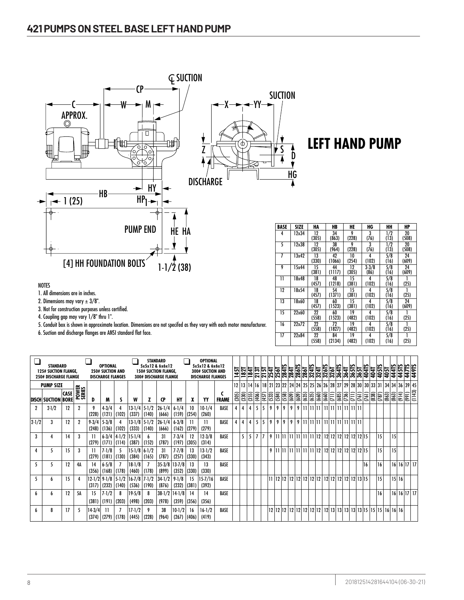

1. All dimensions are in inches.

2. Dimensions may vary  $\pm 3/8$ ".

3. Not for construction purposes unless certified.

4. Coupling gap may vary 1/8" thru 1".

5. Conduit box is shown in approximate location. Dimensions are not specifed as they vary with each motor manufacturer.

6. Suction and discharge flanges are ANSI standard flat face.

| BASE | SIZE  | HA          | HB           | HE          | HG                | HН                    | HP          |
|------|-------|-------------|--------------|-------------|-------------------|-----------------------|-------------|
| 4    | 12x34 | 12<br>(305) | 34<br>(863)  | 9<br>(228)  | 3<br>(76)         | $\frac{1}{2}$<br>(13) | 20<br>(508) |
| 5    | 12x38 | 12<br>(305) | 38<br>(964)  | 9<br>(228)  | 3<br>(76)         | 1/2<br>(13)           | 20<br>(508) |
| 7    | 13x42 | 13<br>(330) | 42<br>(1066) | 10<br>(254) | 4<br>(102)        | 5/8<br>(16)           | 24<br>(609) |
| 9    | 15x44 | 15<br>(381) | 44<br>(1117) | 12<br>(305) | $3 - 3/8$<br>(86) | 5/8<br>(16)           | 24<br>(609) |
| 11   | 18x48 | 18<br>(457) | 48<br>(1218) | 15<br>(381) | 4<br>(102)        | 5/8<br>(16)           | (25)        |
| 12   | 18x54 | 18<br>(457) | 54<br>(1371) | 15<br>(381) | 4<br>(102)        | 5/8<br>(16)           | (25)        |
| 13   | 18x60 | 18<br>(457) | 60<br>(1523) | 15<br>(381) | 4<br>(102)        | 5/8<br>(16)           | 24<br>(609) |
| 15   | 22x60 | 22<br>(558) | 60<br>(1523) | 19<br>(482) | 4<br>(102)        | 5/8<br>(16)           | (25)        |
| 16   | 22x72 | 22<br>(558) | 72<br>(1827) | 19<br>(482) | 4<br>(102)        | 5/8<br>(16)           | (25)        |
| 17   | 22x84 | 22<br>(558) | 84<br>(2134) | 19<br>(482) | 4<br>(102)        | 5/8<br>(16)           | (25)        |

|           | STANDARD<br><b>125# SUCTION FLANGE,</b><br><b>250# DISCHARGE FLANGE</b> |                            |                                        |                            | OPTIONAL<br><b>250# SUCTION AND</b><br><b>DISCHARGE FLANGES</b> |                |                              |                     | <b>STANDARD</b><br>5x5x12 & 6x6x12<br><b>150# SUCTION FLANGE,</b><br><b>300# DISCHARGE FLANGE</b> |                            |                      | <b>OPTIONAL</b><br>5x5x12 & 6x6x12<br>300# SUCTION AND<br><b>DISCHARGE FLANGES</b> |              | 45T<br>- | 182T      | $\overline{1841}$ |       |                |       | 7131 - 7131 - 7131 - 7131 - 714 - 715 - 716 - 716 - 716 - 716 - 716 - 716 - 716 - 716 - 716 - 716 - 716 - 716 -<br>716 - 716 - 716 - 716 - 716 - 716 - 716 - 716 - 716 - 716 - 716 - 716 - 716 - 716 - 716 - 716 - 716 - 716 - 71 |                        |   |                        |       |                          | 3267 |                   |       |   | 364L<br>364L<br>365L             | 404TS      | 405TS<br>404T                                        | 405T                   | 44415           | 445TS | 447TS        | 449TS       |
|-----------|-------------------------------------------------------------------------|----------------------------|----------------------------------------|----------------------------|-----------------------------------------------------------------|----------------|------------------------------|---------------------|---------------------------------------------------------------------------------------------------|----------------------------|----------------------|------------------------------------------------------------------------------------|--------------|----------|-----------|-------------------|-------|----------------|-------|-----------------------------------------------------------------------------------------------------------------------------------------------------------------------------------------------------------------------------------|------------------------|---|------------------------|-------|--------------------------|------|-------------------|-------|---|----------------------------------|------------|------------------------------------------------------|------------------------|-----------------|-------|--------------|-------------|
|           | <b>PUMP SIZE</b>                                                        |                            |                                        |                            |                                                                 |                |                              |                     |                                                                                                   |                            |                      |                                                                                    |              | 12       | <b>13</b> | 14                | 116   |                |       | 18 21 23 22 24 24 25 25 26 26 28 27 29 28 30                                                                                                                                                                                      |                        |   |                        |       |                          |      |                   |       |   |                                  |            | 30   33   31   34   34                               |                        |                 |       |              | 36 39 45    |
|           | <b>DISCH SUCTION</b>                                                    | <b>CASE</b><br><b>BORE</b> | <b>OWER</b><br>ERIES<br>ó<br><u>.គ</u> | D                          | M                                                               |                | W                            |                     | CP                                                                                                | HY                         | X                    | YY                                                                                 | <b>FRAME</b> | (305)    | (330)     | (355)             | (406) | (457)          | (533) | (558)<br>(584)                                                                                                                                                                                                                    | $\frac{1}{\sqrt{609}}$ |   | $\overline{635}$       | (635) | $\frac{660}{5}$<br>(660) | Ξ    | (685)             | (736) | Ξ | $\sqrt{161}$                     | $\sqrt{3}$ | $\overline{33}$                                      | $\boxed{663}$<br>(787) | $\frac{1}{863}$ | (914) | $\sqrt{991}$ | (1143)      |
|           | $2 - 1/2$                                                               | 12                         | 2                                      | 9<br>(228)                 | $4 - 3/4$<br>(121)                                              | (102)          | $13 - 1/4$<br>(337)          | $5 - 1/2$<br>(140)  | 26-1/4<br>(666)                                                                                   | $6 - 1/4$<br>(159)         | 10<br>(254)          | $10-1/4$<br>(260)                                                                  | BASE         | 4        | 4         | 4                 |       | 5              | 9     | 9<br>9                                                                                                                                                                                                                            | 9                      | 9 | 11   11   11           |       |                          |      | 11  1  1  1  1  1 |       |   |                                  |            |                                                      |                        |                 |       |              |             |
| $2 - 1/2$ | 3                                                                       | 12                         | $\overline{2}$                         | $9 - 3/4$<br>(248)         | $5 - 3/8$<br>(136)                                              | (102)          | $13-1/8$<br>(333)            | $5 - 1/2$<br>(140)  | $26 - 1/4$<br>(666)                                                                               | $6 - 3/8$<br>(162)         | Н<br>(279)           | Н<br>(279)                                                                         | BASE         | 4        | 4         | 4                 | 5     | 5              | 9     | 9<br>9                                                                                                                                                                                                                            | 9                      | 9 | 11   11   11           |       |                          |      |                   |       |   |                                  |            |                                                      |                        |                 |       |              |             |
| 3         |                                                                         | 14                         | 3                                      | Н<br>(279)                 | $6 - 3/4$<br>(171)                                              | (114)          | 4-1/2 115-1/4<br>(387)       | (152)               | 31<br>(787)                                                                                       | $7 - 3/4$<br>(197)         | 12<br>(305)          | $12-3/8$<br>(314)                                                                  | BASE         |          | 5         | 5                 |       | $\overline{1}$ | 9     | 11  11  11  11   11   11   12                                                                                                                                                                                                     |                        |   |                        |       |                          |      |                   |       |   | 12 12 12 12 12 12 13             |            |                                                      | 15                     |                 | 15    |              |             |
|           | י                                                                       | 15                         | 3                                      | Н<br>(279)                 | $7 - 1/8$<br>(181)                                              | (130)          | $15 - 1/8$<br>(384)          | $6-1/2$<br>(165)    | 31<br>(787)                                                                                       | $7 - 7/8$<br>(257)         | 13<br>(330)          | $13-1/2$<br>(343)                                                                  | BASE         |          |           |                   |       |                | 9     | l 11   11                                                                                                                                                                                                                         |                        |   | 11   11   11   11   12 |       |                          |      |                   |       |   | 12 12 12 12 12 12 12 15          |            |                                                      | 15                     |                 | 15    |              |             |
|           |                                                                         | 12                         | 4А                                     | 14<br>(356)                | $6 - 5/8$<br>(168)                                              | (178)          | $18-1/8$<br>(460)            | (178)               | $35 - 3/8$<br>(899)                                                                               | $13 - 7/8$<br>(352)        | 13<br>(330)          | 13<br>(330)                                                                        | BASE         |          |           |                   |       |                |       |                                                                                                                                                                                                                                   |                        |   |                        |       |                          |      |                   |       |   |                                  | 16         |                                                      | 16                     |                 |       |              | 16 16 17 17 |
| 5         | h                                                                       | 15                         | 4                                      | (317)                      | $12 - 1/2$ 9-1/8<br>(232)                                       | (140)          | 5-1/2 16-7/8 7-1/2<br>(536)  | (190)               | $34 - 1/2$<br>(876)                                                                               | $9 - 1/8$<br>(232)         | 15<br>(381)          | 15-7/16<br>(392)                                                                   | BASE         |          |           |                   |       |                |       |                                                                                                                                                                                                                                   |                        |   |                        |       |                          |      |                   |       |   | 12   12   12   12   12   13   15 |            |                                                      | 15                     |                 | 15 16 |              |             |
| h         | h                                                                       | 12                         | 5Α                                     | 15                         | $7 - 1/2$                                                       | 8              | $19 - 5/8$                   |                     | $38 - 1/2$                                                                                        | $14-1/8$                   | 14                   | 14                                                                                 | BASE         |          |           |                   |       |                |       |                                                                                                                                                                                                                                   |                        |   |                        |       |                          |      |                   |       |   |                                  |            |                                                      | 16                     |                 |       |              | 16 16 17 17 |
| 6         | 8                                                                       | 17                         | 5                                      | (381)<br>$14-3/4$<br>(374) | (191)<br>(279)                                                  | (203)<br>(178) | (498)<br>$17 - 1/2$<br>(445) | (203)<br>9<br>(228) | (978)<br>38<br>(964)                                                                              | (359)<br>$10-1/2$<br>(267) | (356)<br>16<br>(406) | (356)<br>$16-1/2$<br>(419)                                                         | BASE         |          |           |                   |       |                |       |                                                                                                                                                                                                                                   |                        |   |                        |       |                          |      |                   |       |   |                                  |            | 12   13   13   13   13   13   15   15   16   16   16 |                        |                 |       |              |             |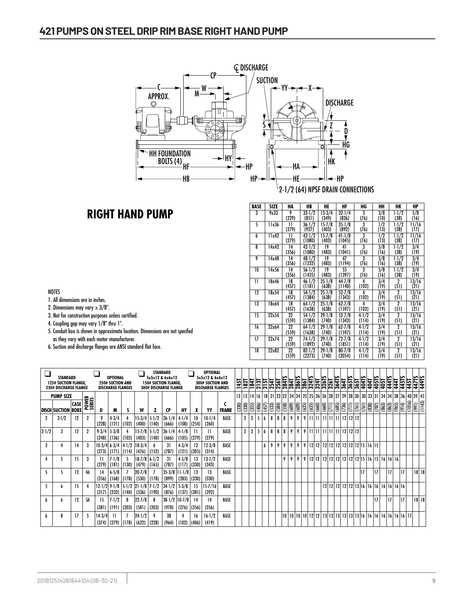

### **RIGHT HAND PUMP**

| <b>BASE</b>             | SIZE  | HA          | HB                   | HE                  | HF                   | HG                 | HН          | ΗК                     | HP            |
|-------------------------|-------|-------------|----------------------|---------------------|----------------------|--------------------|-------------|------------------------|---------------|
| $\overline{\mathbf{3}}$ | 9x33  | 9           | $33 - 1/2$           | $13-3/4$            | $32 - 1/4$           | 3                  | 3/8         | $1 - 1/2$              | 5/8           |
|                         |       | (229)       | (851)                | (349)               | (826)                | (76)               | (10)        | (38)                   | (16)          |
| 5                       | 11x36 | Н<br>(279)  | $36 - 1/2$<br>(927)  | $15 - 7/8$<br>(403) | $35 - 1/8$<br>(892)  | 3<br>(76)          | 1/2<br>(13) | $1 - 1/2$<br>(38)      | 11/16<br>(17) |
| 6                       | 11x42 | Н<br>(279)  | $42 - 1/2$<br>(1080) | $15 - 7/8$<br>(403) | $41 - 1/8$<br>(1045) | 3<br>(76)          | 1/2<br>(13) | $1 - 1/2$<br>(38)      | 11/16<br>(17) |
| 8                       | 14x42 | 14<br>(356) | $42 - 1/2$<br>(1080) | 19<br>(483)         | 41<br>(1041)         | 3<br>(76)          | 5/8<br>(16) | $1-1/2$<br>(38)        | 3/4<br>(19)   |
| 9                       | 14x48 | 14<br>(356) | $48 - 1/2$<br>(1232) | 19<br>(483)         | 47<br>(1194)         | 3<br>(76)          | 5/8<br>(16) | $1-1/2$<br>(38)        | 3/4<br>(19)   |
| 10                      | 14x56 | 14<br>(356) | $56 - 1/2$<br>(1435) | 19<br>(483)         | 55<br>(1397)         | 3<br>(76)          | 5/8<br>(16) | $1-1/2$<br>(38)        | 3/4<br>(19)   |
| 11                      | 18x46 | 18<br>(457) | $46 - 1/2$<br>(1181) | $25 - 1/8$<br>(638) | $44 - 7/8$<br>(1140) | 4<br>(102)         | 3/4<br>(19) | $\overline{2}$<br>(51) | 13/16<br>(21) |
| 12                      | 18x54 | 18<br>(457) | $54-1/2$<br>(1384)   | $25 - 1/8$<br>(638) | $52 - 7/8$<br>(1343) | 4<br>(102)         | 3/4<br>(19) | 2<br>(51)              | 13/16<br>(21) |
| 13                      | 18x64 | 18<br>(457) | $64-1/2$<br>(1638)   | $25 - 1/8$<br>(638) | $62 - 7/8$<br>(1597) | 4<br>(102)         | 3/4<br>(19) | $\overline{2}$<br>(51) | 13/16<br>(21) |
| 15                      | 22x54 | 22<br>(559) | $54-1/2$<br>(1384)   | $29 - 1/8$<br>(740) | $52 - 7/8$<br>(1343) | $4 - 1/2$<br>(114) | 3/4<br>(19) | 2<br>(51)              | 13/16<br>(21) |
| 16                      | 22x64 | 22<br>(559) | $64-1/2$<br>(1638)   | $29 - 1/8$<br>(740) | $62 - 7/8$<br>(1597) | $4 - 1/2$<br>(114) | 3/4<br>(19) | 2<br>(51)              | 13/16<br>(21) |
| 17                      | 22x74 | 22<br>(559) | $74-1/2$<br>(1892)   | $29 - 1/8$<br>(740) | $72 - 7/8$<br>(1851) | $4 - 1/2$<br>(114) | 3/4<br>(19) | 2<br>(51)              | 13/16<br>(21) |
| 18                      | 22x82 | 22<br>(559) | $82 - 1/2$<br>(2273) | $29 - 1/8$<br>(740) | $80 - 7/8$<br>(2054) | $4 - 1/2$<br>(114) | 3/4<br>(19) | $\overline{2}$<br>(51) | 13/16<br>(21) |

1. All dimensions are in inches.

2. Dimensions may vary  $\pm 3/8$ ".

- 3. Not for construction purposes unless certified.
- 4. Coupling gap may vary 1/8" thru 1".
- 5. Conduit box is shown in approximate location. Dimensions are not specifed as they vary with each motor manufacturer.
- 6. Suction and discharge flanges are ANSI standard flat face.

|           | <b>STANDARD</b><br><b>125# SUCTION FLANGE.</b><br><b>250# DISCHARGE FLANGE</b> |             |                 |                    | OPTIONAL<br><b>250# SUCTION AND</b><br><b>DISCHARGE FLANGES</b> |                                                 |                                            | <b>STANDARD</b> | 5x5x12 & 6x6x12<br><b>150# SUCTION FLANGE,</b><br><b>300# DISCHARGE FLANGE</b> |                            |             | <b>OPTIONAL</b><br>5x5x12 & 6x6x12<br><b>300# SUCTION AND</b><br><b>DISCHARGE FLANGES</b> |              | 1451  | 1821  | <u>lai</u> |       |                |        | $\frac{2}{13}$                                                                                                                            | 284   |       |       | $\frac{2867}{2861}$         |       | 3261 | 364TS | 364   | 365TS<br>365T | 404TS                      | $\frac{1}{2}$ | 40515       | 405T                                      | 4415         | 441          | 445TS<br>451 | 4471. | 4491.       |
|-----------|--------------------------------------------------------------------------------|-------------|-----------------|--------------------|-----------------------------------------------------------------|-------------------------------------------------|--------------------------------------------|-----------------|--------------------------------------------------------------------------------|----------------------------|-------------|-------------------------------------------------------------------------------------------|--------------|-------|-------|------------|-------|----------------|--------|-------------------------------------------------------------------------------------------------------------------------------------------|-------|-------|-------|-----------------------------|-------|------|-------|-------|---------------|----------------------------|---------------|-------------|-------------------------------------------|--------------|--------------|--------------|-------|-------------|
|           | <b>PUMP SIZE</b>                                                               |             |                 |                    |                                                                 |                                                 |                                            |                 |                                                                                |                            |             |                                                                                           |              |       |       |            |       |                |        | 13   13   14   16   18   21   23   22   24   24   25   25   26   26   28   27   29   28   30   30   31   34   34   38   36   40   39   45 |       |       |       |                             |       |      |       |       |               |                            |               |             |                                           |              |              |              |       |             |
|           | <b>DISCH SUCTION BORE</b>                                                      | <b>CASE</b> | POWER<br>SERIES | D                  | M                                                               |                                                 | w                                          |                 | <b>CP</b>                                                                      | HY                         |             | YY                                                                                        | <b>FRAME</b> | (330) | (330) | (355)      | (406) | (457)<br>(533) | (584)  | (558)                                                                                                                                     | (609) | (609) | (635) | (660)<br>$\overline{3}$     | (660) | Ξ    | (685) | (736) | $\widehat{z}$ | (761)<br>$\sqrt{161}$      | (838)         | $\sqrt{37}$ | (863)                                     | $\sqrt{863}$ | $\sqrt{965}$ | (914)<br>Ιē  | (166) | (1143)      |
| 2         | $2 - 1/2$                                                                      | 12          | $\mathbf{2}$    | (228)              | $4-3/4$<br>(121)                                                | (102)                                           | $15-3/4$ 5-1/2<br>(400)                    | (140)           | $26 - 1/4$<br>(666)                                                            | $4-1/4$<br>(108)           | 10<br>(254) | $10-1/4$<br>(260)                                                                         | BASE         |       | 3     | 3          | 5     | 6              | 8<br>8 | 8 <sup>0</sup>                                                                                                                            |       | 9     | 9     |                             |       |      |       |       |               |                            |               |             |                                           |              |              |              |       |             |
| $2 - 1/2$ | 3                                                                              | 12          | 2               | $9 - 3/4$<br>(248) | $5 - 3/8$<br>(136)                                              | (102)                                           | 15-7/8 5-1/2<br>(403)                      | (140)           | $26 - 1/4$<br>(666)                                                            | $4-1/8$<br>(105)           | (279)       | $\mathbf{1}$<br>(279)                                                                     | BASE         |       | 3     | 3          | 5     | 6              | 8<br>8 | 8                                                                                                                                         | 9     | 9     | 9     |                             |       |      |       |       |               |                            |               |             |                                           |              |              |              |       |             |
| 3         |                                                                                | 14          | 3               |                    |                                                                 | $10-3/4$ 6-3/4 4-1/2<br>$(273)$ $(171)$ $(114)$ | $18-3/4$<br>(476)                          | (152)           | 31<br>(787)                                                                    | $4 - 3/4$<br>(121)         | 12<br>(305) | $12 - 3/8$<br>(314)                                                                       | <b>BASE</b>  |       |       |            |       | 6<br>9         | 9      | 9                                                                                                                                         | 9     | 9     | 9     | $12 12 $                    |       |      |       |       |               | 12 12 12 12 12 12 13 16 15 |               |             |                                           |              |              |              |       |             |
| 4         |                                                                                | 15          | 3               | (279)              | $7 - 1/8$<br>(181)                                              | (130)                                           | $18-7/8$ 6-1/2<br>(479)                    | (165)           | 31<br>(787)                                                                    | $4 - 5/8$<br>(117)         | 13<br>(330) | $13 - 1/2$<br>(343)                                                                       | BASE         |       |       |            |       |                |        | 9                                                                                                                                         | 9     | 9     | 9     | 12121                       |       |      |       |       |               |                            |               |             | 12 12 12 12 12 12 12 15 16 15 16 16 16    |              |              |              |       |             |
| 5         |                                                                                | 12          | 4Α              | 14<br>(356)        | $6 - 5/8$<br> (168)                                             | (178)                                           | $20 - 7/8$<br>(530)                        | (178)           | (899)                                                                          | $35-3/8$   11-1/8<br>(283) | 13<br>(330) | 13<br>(330)                                                                               | BASE         |       |       |            |       |                |        |                                                                                                                                           |       |       |       |                             |       |      |       |       |               | 17                         |               | 17          |                                           | 17           |              | 17           |       | $18$   $18$ |
| 5         | n                                                                              | 15          |                 | (317)              | (232)                                                           | (140)                                           | $12-1/2$ 9-1/8 5-1/2 21-1/8 7-1/2<br>(536) | (190)           | $34 - 1/2$<br>(876)                                                            | $5 - 3/8$<br>(137)         | 15<br>(381) | 15-7/16<br>(392)                                                                          | <b>BASE</b>  |       |       |            |       |                |        |                                                                                                                                           |       |       |       |                             |       |      |       |       |               |                            |               |             | 12 12 12 12 12 13 16 16 16 16 16 16 16 16 |              |              |              |       |             |
| h         |                                                                                | 12          | 5Α              | 15<br>(381)        | $7 - 1/2$<br>(191)                                              | 8<br>(203)                                      | $22 - 7/8$<br>(581)                        | (203)           | (978)                                                                          | $38-1/2$ 10-7/8<br>(276)   | 14<br>(356) | 14<br>(356)                                                                               | <b>BASE</b>  |       |       |            |       |                |        |                                                                                                                                           |       |       |       |                             |       |      |       |       |               |                            |               | 17          |                                           | 17           |              | 17           |       | 18 18       |
| 6         | 8                                                                              |             | 5               | $14-3/4$           | -11                                                             | $(374)$ $(279)$ $(178)$ $(622)$                 | $ 24 - 1/2 $                               | (228)           | 38<br>(964)                                                                    | (102)                      | 16<br>(406) | $16-1/2$<br>(419)                                                                         | <b>BASE</b>  |       |       |            |       |                |        |                                                                                                                                           |       |       |       | 10   10   10   10   12   12 |       |      |       |       |               |                            |               |             |                                           |              |              |              |       |             |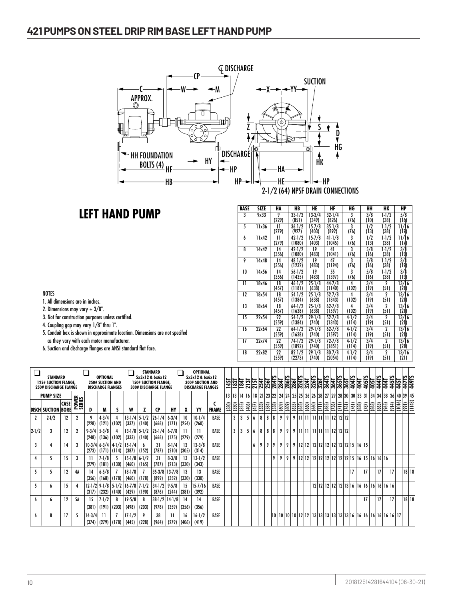#### **421 PUMPS ON STEEL DRIP RIM BASE LEFT HAND PUMP** <u>ON NEIL DRIVET OM BASE</u> Section **421** Page **302** <u>**HEIT ON NO NOTE**</u>



# **LEFT HAND PUMP**

| BASE | SIZE  | HA          | HB                   | HE                  | HF                   | HG                 | HН                    | HК                     | HP                    |
|------|-------|-------------|----------------------|---------------------|----------------------|--------------------|-----------------------|------------------------|-----------------------|
| 3    | 9x33  | 9<br>(229)  | $33 - 1/2$<br>(851)  | $13-3/4$<br>(349)   | $32 - 1/4$<br>(826)  | 3<br>(76)          | 3/8<br>(10)           | $1-1/2$<br>(38)        | 5/8<br>(16)           |
| 5    | 11x36 | Н<br>(279)  | $36 - 1/2$<br>(927)  | $15 - 7/8$<br>(403) | $35 - 1/8$<br>(892)  | 3<br>(76)          | $\frac{1}{2}$<br>(13) | $1-1/2$<br>(38)        | 11/16<br>(17)         |
| 6    | 11x42 | Н<br>(279)  | $42 - 1/2$<br>(1080) | $15 - 7/8$<br>(403) | $41 - 1/8$<br>(1045) | 3<br>(76)          | 1/2<br>(13)           | $1-1/2$<br>(38)        | 11/16<br>(17)         |
| 8    | 14x42 | 14<br>(356) | $42 - 1/2$<br>(1080) | 19<br>(483)         | 41<br>(1041)         | 3<br>(76)          | 5/8<br>(16)           | $1-1/2$<br>(38)        | 3/4<br>(19)           |
| 9    | 14x48 | 14<br>(356) | $48 - 1/2$<br>(1232) | 19<br>(483)         | 47<br>(1194)         | 3<br>(76)          | 5/8<br>(16)           | $1-1/2$<br>(38)        | $\frac{3}{4}$<br>(19) |
| 10   | 14x56 | 14<br>(356) | $56 - 1/2$<br>(1435) | 19<br>(483)         | 55<br>(1397)         | 3<br>(76)          | 5/8<br>(16)           | $1-1/2$<br>(38)        | 3/4<br>(19)           |
| П    | 18x46 | 18<br>(457) | $46 - 1/2$<br>(1181) | $25 - 1/8$<br>(638) | $44 - 7/8$<br>(1140) | 4<br>(102)         | 3/4<br>(19)           | 2<br>(51)              | 13/16<br>(21)         |
| 12   | 18x54 | 18<br>(457) | $54-1/2$<br>(1384)   | $25 - 1/8$<br>(638) | $52 - 7/8$<br>(1343) | 4<br>(102)         | 3/4<br>(19)           | $\overline{2}$<br>(51) | 13/16<br>(21)         |
| 13   | 18x64 | 18<br>(457) | $64-1/2$<br>(1638)   | $25 - 1/8$<br>(638) | $62 - 7/8$<br>(1597) | 4<br>(102)         | 3/4<br>(19)           | $\overline{2}$<br>(51) | 13/16<br>(21)         |
| 15   | 22x54 | 22<br>(559) | $54-1/2$<br>(1384)   | $29 - 1/8$<br>(740) | $52 - 7/8$<br>(1343) | $4-1/2$<br>(114)   | 3/4<br>(19)           | 2<br>(51)              | 13/16<br>(21)         |
| 16   | 22x64 | 22<br>(559) | $64-1/2$<br>(1638)   | $29 - 1/8$<br>(740) | $62 - 7/8$<br>(1597) | $4-1/2$<br>(114)   | 3/4<br>(19)           | 2<br>(51)              | 13/16<br>(21)         |
| 17   | 22x74 | 22<br>(559) | $74-1/2$<br>(1892)   | $29 - 1/8$<br>(740) | $72 - 7/8$<br>(1851) | $4 - 1/2$<br>(114) | 3/4<br>(19)           | $\mathbf 2$<br>(51)    | 13/16<br>(21)         |
| 18   | 22x82 | 22<br>(559) | $82 - 1/2$<br>(2273) | $29 - 1/8$<br>(740) | $80 - 7/8$<br>(2054) | $4 - 1/2$<br>(114) | 3/4<br>(19)           | 2<br>(51)              | 13/16<br>(21)         |

#### NOTES

1. All dimensions are in inches.

- 2. Dimensions may vary  $\pm 3/8$ ".
- 3. Not for construction purposes unless certified.
- 4. Coupling gap may vary 1/8" thru 1".
- 5. Conduit box is shown in approximate location. Dimensions are not specifed as they vary with each motor manufacturer.
- 6. Suction and discharge flanges are ANSI standard flat face.

|           | <b>STANDARD</b><br><b>125# SUCTION FLANGE.</b>   |       |              |                    | OPTIONAL<br><b>250# SUCTION AND</b> |                                     |                     |                                              | <b>STANDARD</b><br>5x5x12 & 6x6x12<br><b>150# SUCTION FLANGE.</b> |                       |             | <b>OPTIONAL</b><br>5x5x12 & 6x6x12<br><b>300# SUCTION AND</b> |              | 1451  |       | $\frac{1827}{1841}$ |                |                  |       | $\frac{15}{215}$<br>$\frac{15}{25}$<br>$\frac{15}{25}$<br>$\frac{15}{25}$<br>$\frac{15}{25}$                          |       |       |                |                                  |                |   |       |       |       |              |              | 404T<br>405TS   |             | 405T                                      | 4415  | 444   | 445TS<br>45T           |              | 447TS       |
|-----------|--------------------------------------------------|-------|--------------|--------------------|-------------------------------------|-------------------------------------|---------------------|----------------------------------------------|-------------------------------------------------------------------|-----------------------|-------------|---------------------------------------------------------------|--------------|-------|-------|---------------------|----------------|------------------|-------|-----------------------------------------------------------------------------------------------------------------------|-------|-------|----------------|----------------------------------|----------------|---|-------|-------|-------|--------------|--------------|-----------------|-------------|-------------------------------------------|-------|-------|------------------------|--------------|-------------|
|           | <b>250# DISCHARGE FLANGE</b><br><b>PUMP SIZE</b> |       |              |                    | <b>DISCHARGE FLANGES</b>            |                                     |                     |                                              | <b>300# DISCHARGE FLANGE</b>                                      |                       |             | <b>DISCHARGE FLANGES</b>                                      |              | 13    |       |                     |                |                  |       | 13   14   16   18   21   23   22   24   24   25   25   26   26   28   27   29   28   30   30   33   31   34   34   38 |       |       |                |                                  |                |   |       |       |       |              |              |                 |             |                                           |       |       |                        |              | 36 40 39 45 |
|           | <b>DISCH SUCTION BORE</b>                        | ∣CASE | <b>POWER</b> | D                  | M                                   |                                     | w                   |                                              | <b>CP</b>                                                         | HY                    |             | YY                                                            | <b>FRAME</b> | (330) | (330) | (355)               | (406)          | (457)            | (533) | (558)<br>(584)                                                                                                        | (609) | (609) | (635)          | (635)                            | (660)<br>(660) | Ξ | (685) | (736) | $\Xi$ | $\sqrt{161}$ | $\sqrt{161}$ | $\frac{1}{183}$ | $\sqrt{37}$ | $\boxed{63}$                              | (863) | (965) | $\frac{1}{2}$<br>(914) | $\sqrt{199}$ | (1143)      |
|           | $2-1/2$                                          | 12    | 2            | (228)              | $4 - 3/4$                           | $(121)$ (102)                       | (337)               | 13-1/4 5-1/2<br>(140)                        | $26 - 1/4$<br>(666)                                               | $6 - 3/4$<br>(171)    | 10<br>(254) | $10-1/4$<br>(260)                                             | <b>BASE</b>  |       | 3     | 3                   | 5 <sup>1</sup> | $\boldsymbol{6}$ | 8     | 8<br>8                                                                                                                | 9     | 9     |                |                                  |                |   |       |       |       |              |              |                 |             |                                           |       |       |                        |              |             |
| $2 - 1/2$ | 3                                                | 12    | $\mathbf{2}$ | $9 - 3/4$<br>(248) | $5 - 3/8$<br>(136)                  | (102)                               | (333)               | $13-1/8$ 5-1/2<br>(140)                      | $26 - 1/4$<br>(666)                                               | $6 - 7/8$<br>(175)    | 11<br>(279) | (279)                                                         | BASE         |       | 3     | 3                   | 5 <sup>1</sup> | 6                | 8     | 8<br>8                                                                                                                | 9     | 9     |                |                                  |                |   |       |       |       |              |              |                 |             |                                           |       |       |                        |              |             |
| 3         |                                                  | 14    | 3            | (273)              |                                     | $10-3/4$ 6-3/4 4-1/2<br>(171) (114) | 15-1/4<br>(387)     | (152)                                        | 31<br>(787)                                                       | $8-1/4$<br>(210)      | 12<br>(305) | $12 - 3/8$<br>(314)                                           | <b>BASE</b>  |       |       |                     |                | 6                | 9     | 9<br>  9                                                                                                              | 9     | 9     | 9 <sup>1</sup> | 12 12 12 12 12 12 12 12 12 15 16 |                |   |       |       |       |              |              |                 |             |                                           |       |       |                        |              |             |
|           | 5                                                | 15    | 3            | (279)              | $7 - 1/8$<br>(181)                  | (130)                               | (460)               | $15-1/8$ 6-1/2<br>(165)                      | 31<br>(787)                                                       | $8-3/8$<br>(213)      | 13<br>(330) | $13 - 1/2$<br>(343)                                           | <b>BASE</b>  |       |       |                     |                |                  |       | 9                                                                                                                     | 9     | 9     | 9              |                                  |                |   |       |       |       |              |              |                 |             |                                           | 16 16 |       |                        |              |             |
|           | 5                                                | 12    | 4A           | 14<br>(356)        | $6 - 5/8$<br>(168)                  | (178)                               | $18-1/8$<br>(460)   | (178)                                        | $35 - 3/8$<br>(899)                                               | $ 13 - 7/8 $<br>(352) | 13<br>(330) | 13<br>(330)                                                   | BASE         |       |       |                     |                |                  |       |                                                                                                                       |       |       |                |                                  |                |   |       |       |       |              | 17           |                 | 17          |                                           | 17    |       | 17                     |              | $18$   18   |
|           | h                                                | 15    | 4            | (317)              | (232)                               | $12-1/2$ 9-1/8 5-1/2<br>(140)       | (429)               | $16 - 7/8$ $7 - 1/2$<br>(190)                | $34 - 1/2$<br>(876)                                               | $9 - 5/8$<br>(244)    | 15<br>(381) | $15 - 7/16$<br>(392)                                          | BASE         |       |       |                     |                |                  |       |                                                                                                                       |       |       |                |                                  |                |   |       |       |       |              |              |                 |             | 12 12 12 12 12 13 16 16 16 16 16 16 16 16 |       |       |                        |              |             |
|           | h                                                | 12    | 5Α           | 15<br>(38]         | $7 - 1/2$<br>(191)                  | 8<br>(203)                          | $19 - 5/8$<br>(498) | 8<br>(203)                                   | $38-1/2$ 14-1/8<br>(978)                                          | (359)                 | 14<br>(356) | 14<br>(356)                                                   | <b>BASE</b>  |       |       |                     |                |                  |       |                                                                                                                       |       |       |                |                                  |                |   |       |       |       |              |              |                 | 17          |                                           | 17    |       | 17                     |              | 18 18       |
|           | 8                                                |       | 5            | $14 - 3/4$         |                                     |                                     | $17 - 1/2$          | 9<br>$(374)$ $(279)$ $(178)$ $(445)$ $(228)$ | 38<br>(964)                                                       | (279)                 | 16<br>(406) | $16 - 1/2$<br>(419)                                           | <b>BASE</b>  |       |       |                     |                |                  |       |                                                                                                                       |       |       |                |                                  |                |   |       |       |       |              |              |                 |             |                                           |       |       |                        |              |             |